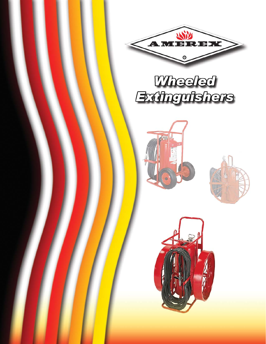







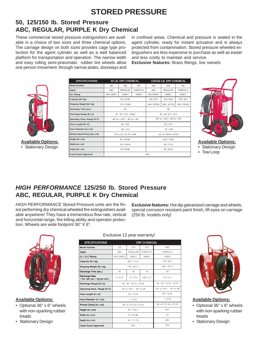# **STORED PRESSURE**

## 50, 125/150 lb. Stored Pressure ABC, REGULAR, PURPLE K Dry Chemical

These commercial stored pressure extinguishers are available in a choice of two sizes and three chemical options. The carriage design on both sizes provides cage type protection for the agent cylinder as well as a well balanced platform for transportation and operation. The narrow width and easy rolling semi-pneumatic rubber tire wheels allow one person movement through narrow aisles, doorways and

in confined areas. Chemical and pressure is sealed in the agent cylinder, ready for instant actuation and is always protected from contamination. Stored pressure wheeled extinguishers are less expensive to purchase as well as easier and less costly to maintain and service.

**Exclusive features: Brass fittings, live swivels** 



**Available Options:** • Stationary Design

| <b>SPECIFICATIONS</b>         | 50 LB. DRY CHEMICAL                                              |                |          | 125/150 LB. DRY CHEMICAL                |                |                 |  |
|-------------------------------|------------------------------------------------------------------|----------------|----------|-----------------------------------------|----------------|-----------------|--|
| <b>Model Number</b>           | 495                                                              | 496            | 497      | 488                                     | 489            | 490             |  |
| Agent                         | ABC                                                              | <b>REGULAR</b> | PURPLE K | ABC                                     | <b>REGULAR</b> | <b>PURPLE K</b> |  |
| J/L Rating                    | 30A:160B:C                                                       | 160B:C         | 160B:C   | 40A:240B:C                              | 240B:C         | 320B:C          |  |
| Capacity (lb./kg)             |                                                                  | 50 / 22.68     |          |                                         | 150/68.0       | 125/56.7        |  |
| Shipping Weight (lb./ kg)     |                                                                  | 174 / 78.88    |          | 344 / 155.95                            | 369 / 167.28   | 344 / 155.95    |  |
| Discharge Time (sec.)         |                                                                  | 35             |          | 48                                      |                |                 |  |
| Discharge Range (ft./ m)      | $25 - 35 / 7.62 - 10.66$                                         |                |          | $30 - 40 / 9.1 - 12.2$                  |                |                 |  |
| Operating Temp. Range (F/C)   | $-40^{\circ}$ to $+120^{\circ}$ / $-40^{\circ}$ to $+49^{\circ}$ |                |          | $-65^{\circ}$ to + 120° / -54° to + 49° |                |                 |  |
| lose Length (ft./ m)          | 25/7.62                                                          |                |          |                                         | 50/15.2        |                 |  |
| lose Diameter (in./ cm)       | .50/1.27                                                         |                |          | .75/1.90                                |                |                 |  |
| Wheels [Semi-Pneu.] (in./ cm) | 12.5 x 3.5 / 31.75 x 8.89                                        |                |          | 16 x 4 / 40.64 x 10.16                  |                |                 |  |
| leight (in./ cm)              | 46 / 116.84                                                      |                |          | 53.5 / 136.0                            |                |                 |  |
| Nidth (in./ cm)               | 21.5 / 54.61                                                     |                |          | 28/71.12                                |                |                 |  |
| Depth (in./ cm)               | 24 / 60.96                                                       |                |          | 40/101.6                                |                |                 |  |
| <b>Coast Guard Approved</b>   |                                                                  |                |          | <b>YES</b>                              |                |                 |  |



**Available Options:** • Stationary Design

• Tow Loop

## **HIGH PERFORMANCE 125/250 lb. Stored Pressure** ABC, REGULAR, PURPLE K Dry Chemical

HIGH PERFORMANCE Stored Pressure units are the finest performing dry chemical wheeled fire extinguishers available anywhere! They have a tremendous flow rate, vertical and horizontal range, fire killing ability and operator protection. Wheels are wide footprint 36" X 6".

 $\begin{array}{c} \hline \bullet \\ \hline \bullet \\ \hline \end{array}$ 

**Exclusive features:** Hot dip galvanized carriage and wheels, special corrosion resistant paint finish, lift eyes on carriage (250 lb. models only)



**Available Options:** 

• Optional 36" x 6" wheels with non-sparking rubber treads

• Stationary Design

#### Exclusive 12 year warranty!

| <b>SPECIFICATIONS</b>                           |                              |                | DRY CHEMICAL    |                              |  |
|-------------------------------------------------|------------------------------|----------------|-----------------|------------------------------|--|
| Model Number                                    | 573                          | 574            | 575             | 690                          |  |
| Agent                                           | ABC                          | <b>REGULAR</b> | <b>PURPLE K</b> | PURPLE K                     |  |
| <b>JL / ULC Rating</b>                          | 40A:160B:C                   | 160B:C         | 160B:C          | 120B:C                       |  |
| Capacity (lb./kg)                               |                              | 250 / 113.4    |                 | 125/56.7                     |  |
| Shipping Weight (lb./kg)                        |                              | 775 / 351.3    |                 | 400 / 181.4                  |  |
| Discharge Time (sec.)                           | 50                           | 40             | 42              | 30                           |  |
| Discharge Rate<br>(Ibs. per sec. / kg per sec.) | 5/2.27                       | 6/2.72         | 5.95 / 2.7      | 5.2/2.4                      |  |
| Discharge Range (ft./ m)                        | 60 - 80 / 18.19 - 24.26      |                |                 | $50 - 55 / 15.24 - 16.76$    |  |
| Operating Temp. Range (F/C)                     | - 40° to 120° / - 40° to 49° |                |                 | - 40° to 120° / - 40° to 49° |  |
| Hose Length (ft./m)                             | 50 / 15.24                   |                |                 | 50 / 15.24                   |  |
| Hose Diameter (in./ cm)                         | 1/2.54                       |                |                 | 1/2.54                       |  |
| Wheels [Steel] (in./ cm)                        | 36 x 6 / 91.44 x 15.24       |                |                 | 36 x 6 / 91.44 x 15.24       |  |
| Height (in./ cm)                                | 60 / 152.4                   |                |                 | 531/2                        |  |
| Width (in./ cm)                                 | 37 / 93.98                   |                |                 | 34                           |  |
| Depth (in./ cm)                                 | 44 / 111.76                  |                |                 | 381/2                        |  |
| <b>Coast Guard Approved</b>                     | <b>YES</b>                   |                |                 | <b>YES</b>                   |  |
|                                                 |                              |                |                 |                              |  |



**Available Options:** 

• Optional 36" x 6" wheels with non-sparking rubber treads

• Stationary Design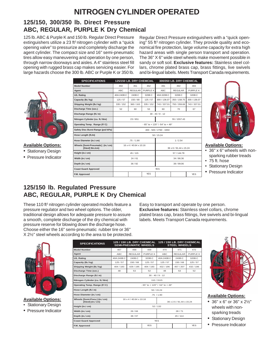# **NITROGEN CYLINDER OPERATED**

## **125/150, 300/350 lb. Direct Pressure ABC, REGULAR, PURPLE K Dry Chemical**

125 lb. ABC & Purple K and 150 lb. Regular Direct Pressure extinguishers utilize a 23 ft<sup>3</sup> nitrogen cylinder with a "quick" opening valve" to pressurize and completely discharge the agent cylinder. The compact size and 16" semi-pneumatic tires allow easy maneuvering and operation by one person, through narrow doorways and aisles. A 4" stainless steel fill opening with rugged brass cap makes servicing easier. For large hazards choose the 300 lb. ABC or Purple K or 350 lb.

Regular Direct Pressure extinguishers with a "quick opening" 55 ft<sup>3</sup> nitrogen cylinder. They provide quality and economical fire protection, large volume capacity for extra high hazard areas with single person transport and operation. The 36" X 6" wide steel wheels make movement possible in sandy or soft soil. **Exclusive features:** Stainless steel collars, chrome plated brass cap, brass fittings, live swivels and bi-lingual labels. Meets Transport Canada requirements.



#### **Available Options:**

• Stationary Design

• Pressure Indicator

| <b>SPECIFICATIONS</b>                                 |                                                                  | 125/150 LB. DRY CHEMCIAL |            |                        | 300/350 LB, DRY CHEMICAL |              |
|-------------------------------------------------------|------------------------------------------------------------------|--------------------------|------------|------------------------|--------------------------|--------------|
| <b>Model Number</b>                                   | 450                                                              | 451                      | 452        | 491                    | 492                      | 493          |
| Agent                                                 | <b>ABC</b>                                                       | <b>REGULAR</b>           | PURPLE K   | ABC                    | <b>REGULAR</b>           | PURPLE K     |
| <b>U/L Rating</b>                                     | 40A:240B:C                                                       | 240B:C                   | 320B:C     | 40A:320B:C             | 320B:C                   | 320B:C       |
| Capacity (lb./ kg)                                    | 125/57                                                           | 150/68                   | 125/57     | 300 / 136.07           | 350 / 158.75             | 300 / 136.07 |
| Shipping Weight (lb./kg)                              | 335 / 152                                                        | 360/163                  | 335 / 152  | 743 / 337.01           | 793 / 359.69             | 743 / 337.01 |
| Discharge Time (sec.)                                 | 52                                                               | 60                       | 53         | 60                     | 70                       | 67           |
| Discharge Range (ft./ m)                              | $30 - 40/9 - 12$                                                 |                          |            |                        |                          |              |
| Nitrogen Cylinder (cu. ft./ litre)                    | 23/651                                                           |                          |            | 55 / 1557.43           |                          |              |
| Operating Temp. Range (F/C)                           | $-65^{\circ}$ to $+120^{\circ}$ / $-54^{\circ}$ to $+49^{\circ}$ |                          |            |                        |                          |              |
| Safety Disc Burst Range (psi/kPa)                     | 400 - 500 / 2760 - 3450                                          |                          |            |                        |                          |              |
| Hose Length (ft./m)                                   | 50 / 15.24                                                       |                          |            |                        |                          |              |
| Hose Diameter (in./ cm)                               | .75/1.90                                                         |                          |            |                        | 1/2.54                   |              |
| Wheels [Semi-Pneumatic] (in./ cm)<br>[Steel] 9in./cm) | 16 x 4 / 40.64 x 10.16                                           |                          |            | 36 x 6 / 91.44 x 15.24 |                          |              |
| Height (in./ cm)                                      | 45/115                                                           |                          |            | 57 / 144.78            |                          |              |
| Width (in./ cm)                                       | 24/61                                                            |                          |            | 34 / 86.36             |                          |              |
| Depth (in./ cm)                                       | 36/92                                                            |                          |            | 39 / 99.06             |                          |              |
| <b>Coast Guard Approved</b>                           | <b>YES</b>                                                       |                          |            |                        |                          |              |
| F.M. Approved                                         |                                                                  |                          | <b>YES</b> |                        |                          | <b>YES</b>   |



**Available Options:**

- 36" x 6" wheels with nonsparking rubber treads
- 75 ft. hose
- Stationary Design
- Pressure Indicator

## **125/150 lb. Regulated Pressure ABC, REGULAR, PURPLE K Dry Chemical**

These 110 ft<sup>3</sup> nitrogen cylinder operated models feature a pressure regulator and two wheel options. The older, traditional design allows for adequate pressure to assure a smooth, complete discharge of the dry chemical with pressure reserve for blowing down the discharge hose. Choose either the 16" semi-pneumatic rubber tire or 36" X 2½" steel wheels according to the area to be protected.

Easy to transport and operate by one person. **Exclusive features:** Stainless steel collars, chrome plated brass cap, brass fittings, live swivels and bi-lingual labels. Meets Transport Canada requirements.



**Available Options:**

• Stationary Design

• Pressure Indicator

| <b>SPECIFICATIONS</b>                              | 125 / 150 LB. DRY CHEMICAL<br><b>SEMI-PNEUMATIC WHEELS</b>       |                        |            | 125 / 150 LB. DRY CHEMICAL<br><b>STEEL WHEELS</b> |                |            |
|----------------------------------------------------|------------------------------------------------------------------|------------------------|------------|---------------------------------------------------|----------------|------------|
| <b>Model Number</b>                                | 467                                                              | 468                    | 469        | 470                                               | 471            | 472        |
| Agent                                              | ABC                                                              | <b>REGULAR</b>         | PURPLE K   | ABC.                                              | <b>REGULAR</b> | PURPLE K   |
| <b>U/L Rating</b>                                  | 40A:240B:C                                                       | 240B:C                 | 320B:C     | 40A:240B:C                                        | 240B:C         | 320B:C     |
| Capacity (lb./ kg)                                 | 125/57                                                           | 150/68                 | 125/57     | 125/57                                            | 150/68         | 125/57     |
| Shipping Weight (lb./kg)                           | 404 / 183                                                        | 429 / 195              | 404 / 183  | 432 / 196                                         | 457 / 207      | 432 / 196  |
| Discharge Time (sec.)                              | 48                                                               | 53                     | 52         | 48                                                | 53             | 52         |
| Discharge Range (ft./ m)                           |                                                                  |                        |            | $30 - 40 / 9 - 12$                                |                |            |
| Nitrogen Cylinder (cu. ft./ litre)                 | 110 / 3115                                                       |                        |            |                                                   |                |            |
| Operating Temp. Range (F/C)                        | $-65^{\circ}$ to $+120^{\circ}$ / $-54^{\circ}$ to $+49^{\circ}$ |                        |            |                                                   |                |            |
| Hose Length (ft./ m)                               | 50 / 15.24                                                       |                        |            |                                                   |                |            |
| Hose Diameter (in./ cm)                            | .75/1.90                                                         |                        |            |                                                   |                |            |
| Wheels [Semi-Pneu.] (in./ cm)<br>[Steel] (in./ cm) |                                                                  | 16 x 4 / 40.64 x 10.16 |            | 36 x 2.5 / 91.44 x 15.24                          |                |            |
| Height (in./ cm)                                   | 52/132                                                           |                        |            |                                                   |                |            |
| Width (in./ cm)                                    | 26/66<br>28/71                                                   |                        |            |                                                   |                |            |
| Depth (in./ cm)                                    | 38/97                                                            |                        |            | 45 / 114                                          |                |            |
| <b>Coast Guard Approved</b>                        | <b>YES</b>                                                       |                        |            |                                                   |                |            |
| F.M. Approved                                      |                                                                  |                        | <b>YES</b> |                                                   |                | <b>YES</b> |
|                                                    |                                                                  |                        |            |                                                   |                |            |



**Available Options:**

- 36" x 6" or 36" x 2½" wheels with nonsparking treads
- Stationary Design
- Pressure Indicator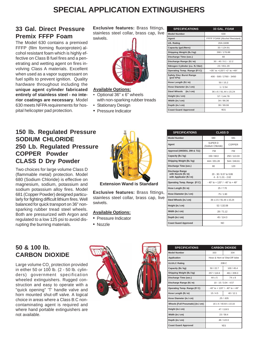# **SPECIAL APPLICATION EXTINGUISHERS**

#### **33 Gal. Direct Pressure Premix FFFP Foam**

The Model 630 contains a premixed FFFP (film forming fluoroprotein) alcohol resistant foam which is highly effective on Class B fuel fires and a penetrating and wetting agent on fires involving Class A materials. Excellent when used as a vapor suppressant on fuel spills to prevent ignition. Quality hardware throughout including the **unique agent cylinder fabricated entirely of stainless steel - no interior coatings are necessary**. Model 630 meets NFPA requirements for hospital helicopter pad protection.

**Exclusive features:** Brass fittings, stainless steel collar, brass cap, live swivels.



#### **Available Options:**

- Optional 36" x 6" wheels with non-sparking rubber treads • Stationary Design
- 
- Pressure Indicator

| <b>SPECIFICATIONS</b>                       | 33 GAL. FOAM                  |  |  |
|---------------------------------------------|-------------------------------|--|--|
| <b>Model Number</b>                         | 630                           |  |  |
| Agent                                       | FFFP FOAM (Alcohol Resistant) |  |  |
| <b>U/L Rating</b>                           | 20A:160B                      |  |  |
| Capacity (gal./liters)                      | 33 / 124.91                   |  |  |
| Shipping Weight (lb./kg)                    | 390 / 176.88                  |  |  |
| Discharge Time (sec.)                       | 60                            |  |  |
| Discharge Range (ft./ m)                    | $30 - 40 / 9.1 - 12.2$        |  |  |
| Nitrogen Cylinder (cu. ft./ liter)          | 23/651.29                     |  |  |
| Operating Temp. Range (F/C)                 | +35° to +120°/ +2° to +49°    |  |  |
| <b>Safety Disc Burst Range</b><br>(psi/kPa) | 400 - 500 / 2760 - 3450       |  |  |
| Hose Length (ft./ m)                        | 50/15.2                       |  |  |
| Hose Diameter (in./ cm)                     | 1/2.54                        |  |  |
| Steel Wheels (in./ cm)                      | 36 x 6 / 91.44 x 15.24        |  |  |
| Height (in./ cm)                            | 57 / 144.78                   |  |  |
| Width (in./ cm)                             | 34 / 86.36                    |  |  |
| Depth (in./ cm)                             | 39 / 99.06                    |  |  |
| <b>Coast Guard Approved</b>                 | <b>YES</b>                    |  |  |

#### **150 lb. Regulated Pressure SODIUM CHLORIDE 250 Lb. Regulated Pressure COPPER Powder CLASS D Dry Powder**

Two choices for large volume Class D (flammable metal) protection. Model 680 (Sodium Chloride) is effective on magnesium, sodium, potassium and sodium potassium alloy fires. Model 681 (Copper Powder) designed particularly for fighting difficult lithium fires. Well balanced for quick transport on 36" nonsparking rubber tread steel wheels. Both are pressurized with Argon and regulated to a low 125 psi to avoid disrupting the burning materials.

### **50 & 100 lb. CARBON DIOXIDE**

Large volume CO $_{\rm 2}$  protection provided in either 50 or 100 lb. (2 - 50 lb. cylinders) government specification wheeled extinguishers. Rugged construction and easy to operate with a "quick opening" 'T' handle valve and horn mounted shut-off valve. A logical choice in areas where a Class B:C noncontaminating agent is required and where hand portable extinguishers are not available.



**Extension Wand is Standard**

**Exclusive features:** Brass fittings, stainless steel collar, brass cap, live swivels.

#### **Available Options:**

- Pressure Indicator
- Nozzle



| <b>SPECIFICATIONS</b>                                                      | <b>CLASS D</b>                                                   |               |  |
|----------------------------------------------------------------------------|------------------------------------------------------------------|---------------|--|
| <b>Model Number</b>                                                        | 680                                                              | 681           |  |
| Agent                                                                      | SUPER D<br>(Sodium Chloride)                                     | <b>COPPER</b> |  |
| Approval (ANSI/UL 299 & 711)                                               | <b>FM</b>                                                        | FM            |  |
| Capacity (lb./ kg)                                                         | 150/68.0                                                         | 250 / 113.33  |  |
| Shipping Weight (lb./ kg)                                                  | 444 / 201.28                                                     | 544 / 246.61  |  |
| Discharge Time (sec.)                                                      | 80                                                               | 120           |  |
| <b>Discharge Range</b><br>with Nozzle (ft./ m)<br>with Applicator (ft./ m) | 20 - 30 / 6.57 to 9.86<br>$4 - 8 / 1.31 - 2.62$                  |               |  |
| Operating Temp. Range (F/C)                                                | $-40^{\circ}$ to $+120^{\circ}$ / $-40^{\circ}$ to $+49^{\circ}$ |               |  |
| Hose Length (ft./ m)                                                       | 25/7.70                                                          |               |  |
| Hose Diameter (in./ cm)                                                    | .75/1.90                                                         |               |  |
| Steel Wheels (in./ cm)                                                     | 36 x 2.5 / 91.44 x 15.24                                         |               |  |
| Height (in./ cm)                                                           | 52/132.08                                                        |               |  |
| Width (in./ cm)                                                            | 28/71.12                                                         |               |  |
| Depth (in./ cm)                                                            | 45/114.3                                                         |               |  |
| <b>Coast Guard Approved</b>                                                | NO.                                                              |               |  |

| <b>SPECIFICATIONS</b>             |                                                                  | <b>CARBON DIOXIDE</b> |  |
|-----------------------------------|------------------------------------------------------------------|-----------------------|--|
| Model Number                      | 333                                                              | 334                   |  |
| <b>Application</b>                | Hose & Horn w/ Shut-Off Valve                                    |                       |  |
| <b>UL/ULC Rating</b>              | 20B:C                                                            |                       |  |
| Capacity (lb./ kg)                | 50/22.7<br>100/45.4                                              |                       |  |
| Shipping Weight (lb./ kg)         | 257 / 116.6                                                      | 461 / 209.3           |  |
| Discharge Time (sec.)             | $44 + 5$                                                         | $74 + 8$              |  |
| Discharge Range (ft./ m)          | $10 - 15 / 3.04 - 4.57$                                          |                       |  |
| Operating Temp. Range (F/C)       | $-40^{\circ}$ to $+120^{\circ}$ / $-40^{\circ}$ to $+49^{\circ}$ |                       |  |
| Hose Length (ft./ m)              | 15/4.5<br>40/12.1                                                |                       |  |
| Hose Diameter (in./ cm)           | .25 / .635                                                       |                       |  |
| Wheels [Full Pneumatic] (in./ cm) | 16 x 4 / 40.64 x 10.16                                           |                       |  |
| Height (in./ cm)                  | 47 / 119.5                                                       |                       |  |
| Width (in./ cm)                   | 23/58.4                                                          |                       |  |
| Depth (in./ cm)                   | 48/122.0                                                         |                       |  |
| <b>Coast Guard Approved</b>       | <b>YES</b>                                                       |                       |  |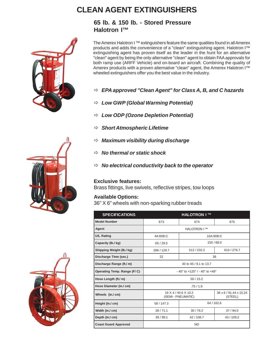# **CLEAN AGENT EXTINGUISHERS**

**65 lb. & 150 lb. - Stored Pressure Halotron I™**

The Amerex Halotron I™ extinguishers feature the same qualities found in all Amerex products and adds the convenience of a "clean" extinguishing agent. Halotron I™ extinguishing agent has proven itself as the leader in the hunt for an alternative "clean" agent by being the only alternative "clean" agent to obtain FAA approvals for both ramp use (ARFF Vehicle) and on-board an aircraft. Combining the quality of Amerex products with a proven alternative "clean" agent, the Amerex Halotron I™ wheeled extinguishers offer you the best value in the industry.

- Ö *EPA approved "Clean Agent" for Class A, B, and C hazards*
- Ö *Low GWP (Global Warming Potential)*
- Ö *Low ODP (Ozone Depletion Potential)*
- Ö *Short Atmospheric Lifetime*
- Ö *Maximum visibility during discharge*
- Ö *No thermal or static shock*
- Ö *No electrical conductivity back to the operator*

#### **Exclusive features:**

Brass fittings, live swivels, reflective stripes, tow loops

#### **Available Options:**

36" X 6" wheels with non-sparking rubber treads

| <b>SPECIFICATIONS</b>       | <b>HALOTRON I™</b>                                                |             |                                   |  |
|-----------------------------|-------------------------------------------------------------------|-------------|-----------------------------------|--|
| <b>Model Number</b>         | 673<br>674                                                        |             | 675                               |  |
| Agent                       | <b>HALOTRON I™</b>                                                |             |                                   |  |
| U/L Rating                  | 4A:60B:C<br>10A:80B:C                                             |             |                                   |  |
| Capacity (lb./ kg)          | 150 / 68.0<br>65/29.5                                             |             |                                   |  |
| Shipping Weight (lb./ kg)   | 286 / 129.7                                                       | 512 / 232.2 | 610 / 276.7                       |  |
| Discharge Time (sec.)       | 22<br>38                                                          |             |                                   |  |
| Discharge Range (ft./ m)    | 30 to 45 / 9.1 to 13.7                                            |             |                                   |  |
| Operating Temp. Range (F/C) | $-40^{\circ}$ to $+120^{\circ}$ / - $40^{\circ}$ to $+49^{\circ}$ |             |                                   |  |
| Hose Length (ft./ m)        | 50/15.2                                                           |             |                                   |  |
| Hose Diameter (in./ cm)     | .75/1.9                                                           |             |                                   |  |
| Wheels (in./ cm)            | 16 X 4 / 40.6 X 10.2<br>(SEMI - PNEUMATIC)                        |             | 36 x 6 / 91.44 x 15.24<br>(STEEL) |  |
| Height (in./ cm)            | 64 / 162.6<br>58 / 147.3                                          |             |                                   |  |
| Width (in./ cm)             | 28/71.1                                                           | 30/76.2     | 37/94.0                           |  |
| Depth (in./ cm)             | 39 / 99.1<br>42 / 106.7                                           |             | 43/109.2                          |  |
| <b>Coast Guard Approved</b> | NO                                                                |             |                                   |  |